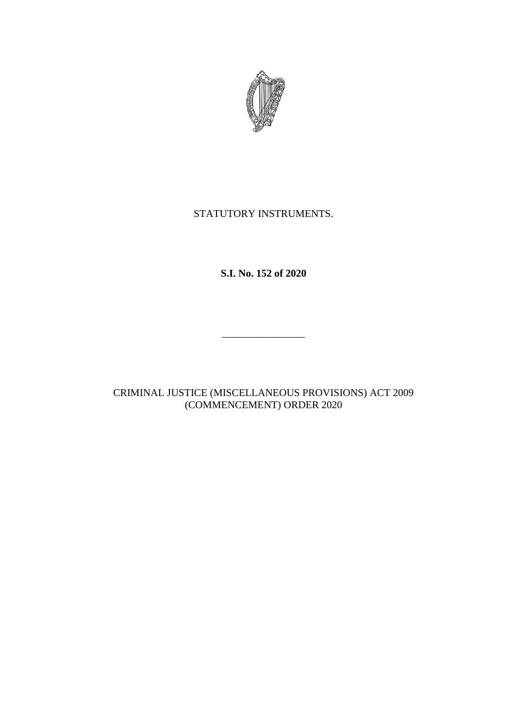

## STATUTORY INSTRUMENTS.

**S.I. No. 152 of 2020**

\_\_\_\_\_\_\_\_\_\_\_\_\_\_\_\_

CRIMINAL JUSTICE (MISCELLANEOUS PROVISIONS) ACT 2009 (COMMENCEMENT) ORDER 2020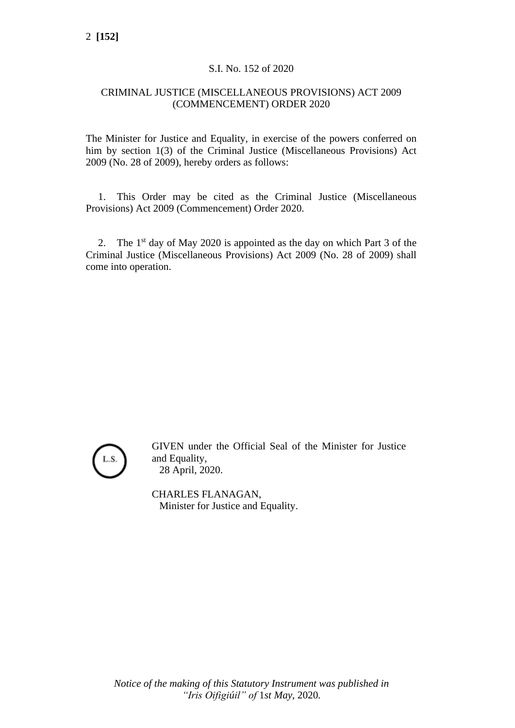## S.I. No. 152 of 2020

## CRIMINAL JUSTICE (MISCELLANEOUS PROVISIONS) ACT 2009 (COMMENCEMENT) ORDER 2020

The Minister for Justice and Equality, in exercise of the powers conferred on him by section 1(3) of the Criminal Justice (Miscellaneous Provisions) Act 2009 (No. 28 of 2009), hereby orders as follows:

1. This Order may be cited as the Criminal Justice (Miscellaneous Provisions) Act 2009 (Commencement) Order 2020.

2. The  $1<sup>st</sup>$  day of May 2020 is appointed as the day on which Part 3 of the Criminal Justice (Miscellaneous Provisions) Act 2009 (No. 28 of 2009) shall come into operation.



GIVEN under the Official Seal of the Minister for Justice and Equality, 28 April, 2020.

CHARLES FLANAGAN, Minister for Justice and Equality.